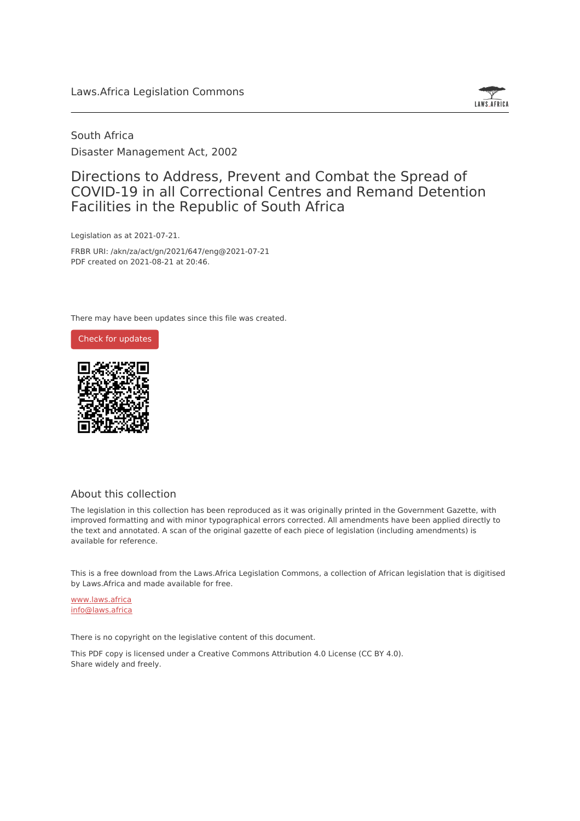

South Africa Disaster Management Act, 2002

## Directions to Address, Prevent and Combat the Spread of COVID-19 in all Correctional Centres and Remand Detention Facilities in the Republic of South Africa

Legislation as at 2021-07-21.

FRBR URI: /akn/za/act/gn/2021/647/eng@2021-07-21 PDF created on 2021-08-21 at 20:46.

There may have been updates since this file was created.





#### About this collection

The legislation in this collection has been reproduced as it was originally printed in the Government Gazette, with improved formatting and with minor typographical errors corrected. All amendments have been applied directly to the text and annotated. A scan of the original gazette of each piece of legislation (including amendments) is available for reference.

This is a free download from the Laws.Africa Legislation Commons, a collection of African legislation that is digitised by Laws.Africa and made available for free.

[www.laws.africa](https://www.laws.africa) [info@laws.africa](mailto:info@laws.africa)

There is no copyright on the legislative content of this document.

This PDF copy is licensed under a Creative Commons Attribution 4.0 License (CC BY 4.0). Share widely and freely.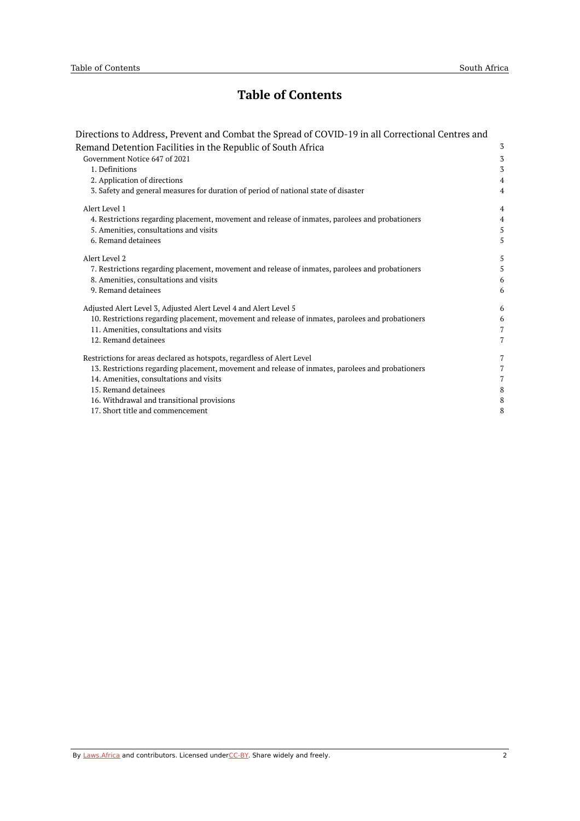# **Table of Contents**

| Directions to Address, Prevent and Combat the Spread of COVID-19 in all Correctional Centres and |                |
|--------------------------------------------------------------------------------------------------|----------------|
| Remand Detention Facilities in the Republic of South Africa                                      | 3              |
| Government Notice 647 of 2021                                                                    | 3              |
| 1. Definitions                                                                                   | 3              |
| 2. Application of directions                                                                     | $\overline{4}$ |
| 3. Safety and general measures for duration of period of national state of disaster              | $\overline{4}$ |
| Alert Level 1                                                                                    | $\overline{4}$ |
| 4. Restrictions regarding placement, movement and release of inmates, parolees and probationers  | $\overline{4}$ |
| 5. Amenities, consultations and visits                                                           | 5              |
| 6. Remand detainees                                                                              | 5              |
| Alert Level 2                                                                                    | 5              |
| 7. Restrictions regarding placement, movement and release of inmates, parolees and probationers  | 5              |
| 8. Amenities, consultations and visits                                                           | 6              |
| 9. Remand detainees                                                                              | 6              |
| Adjusted Alert Level 3, Adjusted Alert Level 4 and Alert Level 5                                 | 6              |
| 10. Restrictions regarding placement, movement and release of inmates, parolees and probationers | 6              |
| 11. Amenities, consultations and visits                                                          | $\overline{7}$ |
| 12. Remand detainees                                                                             | $\overline{7}$ |
| Restrictions for areas declared as hotspots, regardless of Alert Level                           | 7              |
| 13. Restrictions regarding placement, movement and release of inmates, parolees and probationers | $\overline{7}$ |
| 14. Amenities, consultations and visits                                                          | $\overline{7}$ |
| 15. Remand detainees                                                                             | 8              |
| 16. Withdrawal and transitional provisions                                                       | 8              |
| 17. Short title and commencement                                                                 | 8              |
|                                                                                                  |                |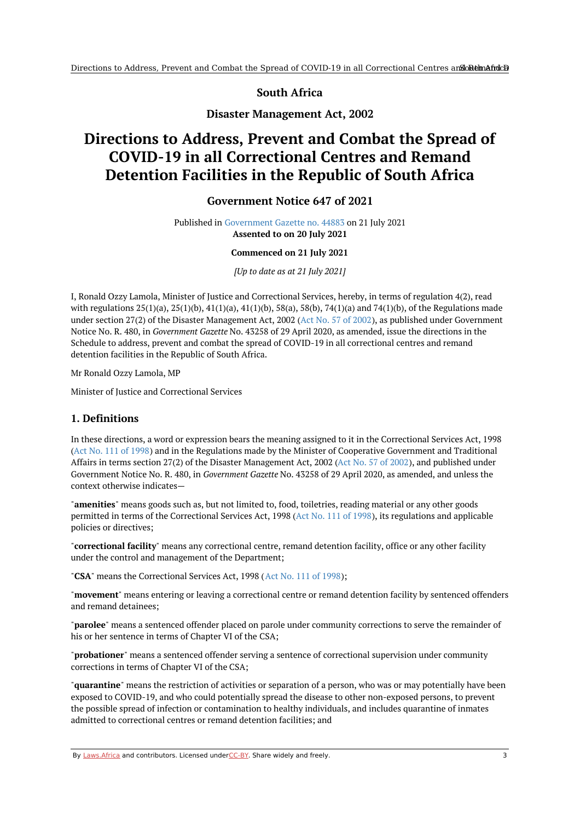**South Africa**

**Disaster Management Act, 2002**

# <span id="page-2-1"></span><span id="page-2-0"></span>**Directions to Address, Prevent and Combat the Spread of COVID-19 in all Correctional Centres and Remand Detention Facilities in the Republic of South Africa**

### **Government Notice 647 of 2021**

Published in [Government](https://commons.laws.africa/akn/za/act/gn/2021/647/media/publication/za-act-gn-2021-647-publication-document.pdf) Gazette no. 44883 on 21 July 2021 **Assented to on 20 July 2021**

#### **Commenced on 21 July 2021**

*[Up to date as at 21 July 2021]*

I, Ronald Ozzy Lamola, Minister of Justice and Correctional Services, hereby, in terms of regulation 4(2), read with regulations  $25(1)(a)$ ,  $25(1)(b)$ ,  $41(1)(a)$ ,  $41(1)(b)$ ,  $58(a)$ ,  $58(b)$ ,  $74(1)(a)$  and  $74(1)(b)$ , of the Regulations made under section 27(2) of the Disaster Management Act, 2002 (Act No. 57 of [2002](https://africanlii.org/akn/za/act/2002/57)), as published under Government Notice No. R. 480, in *Government Gazette* No. 43258 of 29 April 2020, as amended, issue the directions in the Schedule to address, prevent and combat the spread of COVID-19 in all correctional centres and remand detention facilities in the Republic of South Africa.

Mr Ronald Ozzy Lamola, MP

Minister of Justice and Correctional Services

#### <span id="page-2-2"></span>**1. Definitions**

In these directions, a word or expression bears the meaning assigned to it in the Correctional Services Act, 1998 (Act No. 111 of [1998](https://africanlii.org/akn/za/act/1998/111)) and in the Regulations made by the Minister of Cooperative Government and Traditional Affairs in terms section 27(2) of the Disaster Management Act, 2002 (Act No. 57 of [2002](https://africanlii.org/akn/za/act/2002/57)), and published under Government Notice No. R. 480, in *Government Gazette* No. 43258 of 29 April 2020, as amended, and unless the context otherwise indicates—

"**amenities**" means goods such as, but not limited to, food, toiletries, reading material or any other goods permitted in terms of the Correctional Services Act, 1998 (Act No. 111 of [1998](https://africanlii.org/akn/za/act/1998/111)), its regulations and applicable policies or directives;

"**correctional facility**" means any correctional centre, remand detention facility, office or any other facility under the control and management of the Department;

"**CSA**" means the Correctional Services Act, 1998 (Act No. 111 of [1998](https://africanlii.org/akn/za/act/1998/111));

"**movement**" means entering or leaving a correctional centre or remand detention facility by sentenced offenders and remand detainees;

"**parolee**" means a sentenced offender placed on parole under community corrections to serve the remainder of his or her sentence in terms of Chapter VI of the CSA;

"**probationer**" means a sentenced offender serving a sentence of correctional supervision under community corrections in terms of Chapter VI of the CSA;

"**quarantine**" means the restriction of activities or separation of a person, who was or may potentially have been exposed to COVID-19, and who could potentially spread the disease to other non-exposed persons, to prevent the possible spread of infection or contamination to healthy individuals, and includes quarantine of inmates admitted to correctional centres or remand detention facilities; and

By [Laws.Africa](https://edit.laws.africa/widgets/pdf-attribution) and contributors. Licensed und[erCC-B](https://edit.laws.africa/widgets/pdf-cc-by)Y. Share widely and freely. 3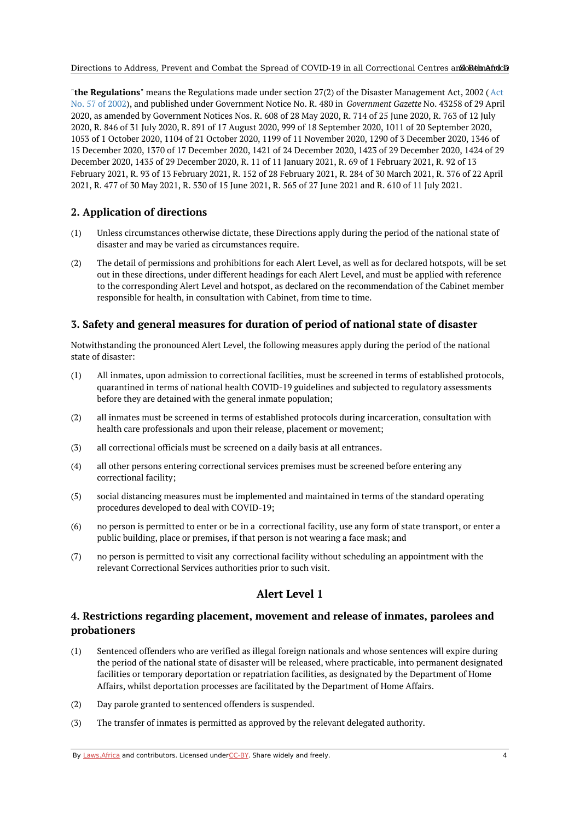#### Directions to Address, Prevent and Combat the Spread of COVID-19 in all Correctional Centres and one hand africa

"**the Regulations**" means the Regulations made under section 27(2) of the Disaster [Management](https://africanlii.org/akn/za/act/2002/57) Act, 2002 (Act No. 57 of 2002), and published under Government Notice No. R. 480 in *Government Gazette* No. 43258 of 29 April 2020, as amended by Government Notices Nos. R. 608 of 28 May 2020, R. 714 of 25 June 2020, R. 763 of 12 July 2020, R. 846 of 31 July 2020, R. 891 of 17 August 2020, 999 of 18 September 2020, 1011 of 20 September 2020, 1053 of 1 October 2020, 1104 of 21 October 2020, 1199 of 11 November 2020, 1290 of 3 December 2020, 1346 of 15 December 2020, 1370 of 17 December 2020, 1421 of 24 December 2020, 1423 of 29 December 2020, 1424 of 29 December 2020, 1435 of 29 December 2020, R. 11 of 11 January 2021, R. 69 of 1 February 2021, R. 92 of 13 February 2021, R. 93 of 13 February 2021, R. 152 of 28 February 2021, R. 284 of 30 March 2021, R. 376 of 22 April 2021, R. 477 of 30 May 2021, R. 530 of 15 June 2021, R. 565 of 27 June 2021 and R. 610 of 11 July 2021.

## <span id="page-3-0"></span>**2. Application of directions**

- (1) Unless circumstances otherwise dictate, these Directions apply during the period of the national state of disaster and may be varied as circumstances require.
- (2) The detail of permissions and prohibitions for each Alert Level, as well as for declared hotspots, will be set out in these directions, under different headings for each Alert Level, and must be applied with reference to the corresponding Alert Level and hotspot, as declared on the recommendation of the Cabinet member responsible for health, in consultation with Cabinet, from time to time.

### <span id="page-3-1"></span>**3. Safety and general measures for duration of period of national state of disaster**

Notwithstanding the pronounced Alert Level, the following measures apply during the period of the national state of disaster:

- (1) All inmates, upon admission to correctional facilities, must be screened in terms of established protocols, quarantined in terms of national health COVID-19 guidelines and subjected to regulatory assessments before they are detained with the general inmate population;
- (2) all inmates must be screened in terms of established protocols during incarceration, consultation with health care professionals and upon their release, placement or movement;
- (3) all correctional officials must be screened on a daily basis at all entrances.
- (4) all other persons entering correctional services premises must be screened before entering any correctional facility;
- (5) social distancing measures must be implemented and maintained in terms of the standard operating procedures developed to deal with COVID-19;
- (6) no person is permitted to enter or be in a correctional facility, use any form of state transport, or enter a public building, place or premises, if that person is not wearing a face mask; and
- (7) no person is permitted to visit any correctional facility without scheduling an appointment with the relevant Correctional Services authorities prior to such visit.

## **Alert Level 1**

## <span id="page-3-3"></span><span id="page-3-2"></span>**4. Restrictions regarding placement, movement and release of inmates, parolees and probationers**

- (1) Sentenced offenders who are verified as illegal foreign nationals and whose sentences will expire during the period of the national state of disaster will be released, where practicable, into permanent designated facilities or temporary deportation or repatriation facilities, as designated by the Department of Home Affairs, whilst deportation processes are facilitated by the Department of Home Affairs.
- (2) Day parole granted to sentenced offenders is suspended.
- (3) The transfer of inmates is permitted as approved by the relevant delegated authority.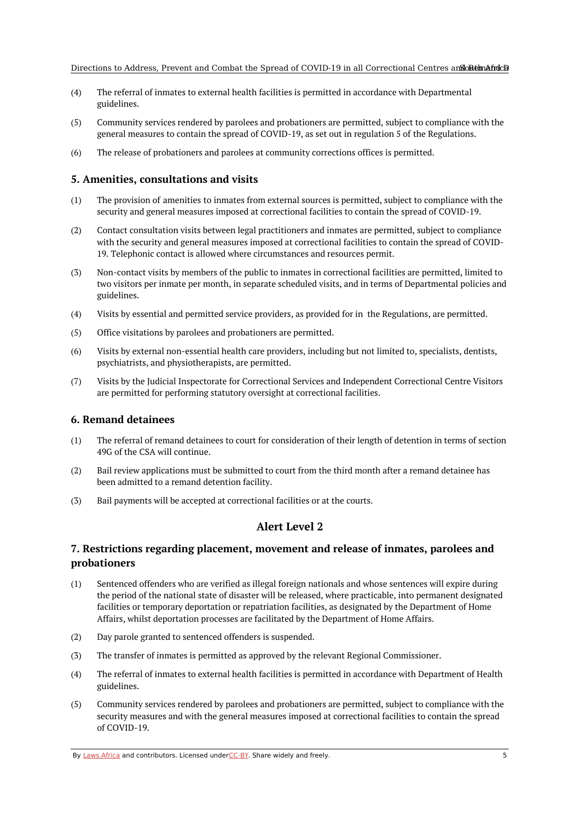- (4) The referral of inmates to external health facilities is permitted in accordance with Departmental guidelines.
- (5) Community services rendered by parolees and probationers are permitted, subject to compliance with the general measures to contain the spread of COVID-19, as set out in regulation 5 of the Regulations.
- (6) The release of probationers and parolees at community corrections offices is permitted.

## <span id="page-4-0"></span>**5. Amenities, consultations and visits**

- $(1)$ The provision of amenities to inmates from external sources is permitted, subject to compliance with the security and general measures imposed at correctional facilities to contain the spread of COVID-19.
- (2) Contact consultation visits between legal practitioners and inmates are permitted, subject to compliance with the security and general measures imposed at correctional facilities to contain the spread of COVID-19. Telephonic contact is allowed where circumstances and resources permit.
- (3) Non-contact visits by members of the public to inmates in correctional facilities are permitted, limited to two visitors per inmate per month, in separate scheduled visits, and in terms of Departmental policies and guidelines.
- $(4)$ Visits by essential and permitted service providers, as provided for in the Regulations, are permitted.
- (5) Office visitations by parolees and probationers are permitted.
- (6) Visits by external non-essential health care providers, including but not limited to, specialists, dentists, psychiatrists, and physiotherapists, are permitted.
- (7) Visits by the Judicial Inspectorate for Correctional Services and Independent Correctional Centre Visitors are permitted for performing statutory oversight at correctional facilities.

#### <span id="page-4-1"></span>**6. Remand detainees**

- (1) The referral of remand detainees to court for consideration of their length of detention in terms of section 49G of the CSA will continue.
- (2) Bail review applications must be submitted to court from the third month after a remand detainee has been admitted to a remand detention facility.
- <span id="page-4-2"></span>(3) Bail payments will be accepted at correctional facilities or at the courts.

## **Alert Level 2**

### <span id="page-4-3"></span>**7. Restrictions regarding placement, movement and release of inmates, parolees and probationers**

- (1) Sentenced offenders who are verified as illegal foreign nationals and whose sentences will expire during the period of the national state of disaster will be released, where practicable, into permanent designated facilities or temporary deportation or repatriation facilities, as designated by the Department of Home Affairs, whilst deportation processes are facilitated by the Department of Home Affairs.
- (2) Day parole granted to sentenced offenders is suspended.
- (3) The transfer of inmates is permitted as approved by the relevant Regional Commissioner.
- (4) The referral of inmates to external health facilities is permitted in accordance with Department of Health guidelines.
- (5) Community services rendered by parolees and probationers are permitted, subject to compliance with the security measures and with the general measures imposed at correctional facilities to contain the spread of COVID-19.

By [Laws.Africa](https://edit.laws.africa/widgets/pdf-attribution) and contributors. Licensed und[erCC-B](https://edit.laws.africa/widgets/pdf-cc-by)Y. Share widely and freely.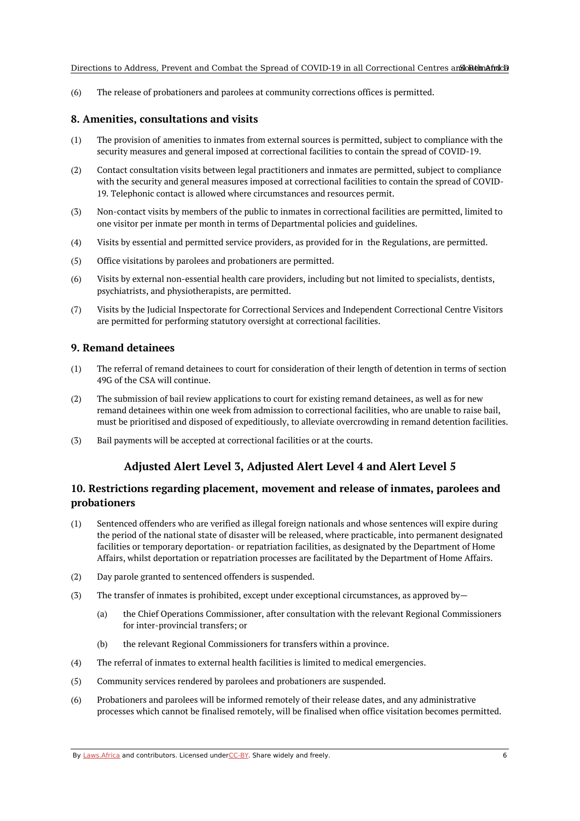(6) The release of probationers and parolees at community corrections offices is permitted.

#### <span id="page-5-0"></span>**8. Amenities, consultations and visits**

- (1) The provision of amenities to inmates from external sources is permitted, subject to compliance with the security measures and general imposed at correctional facilities to contain the spread of COVID-19.
- (2) Contact consultation visits between legal practitioners and inmates are permitted, subject to compliance with the security and general measures imposed at correctional facilities to contain the spread of COVID-19. Telephonic contact is allowed where circumstances and resources permit.
- (3) Non-contact visits by members of the public to inmates in correctional facilities are permitted, limited to one visitor per inmate per month in terms of Departmental policies and guidelines.
- (4) Visits by essential and permitted service providers, as provided for in the Regulations, are permitted.
- (5) Office visitations by parolees and probationers are permitted.
- (6) Visits by external non-essential health care providers, including but not limited to specialists, dentists, psychiatrists, and physiotherapists, are permitted.
- (7) Visits by the Judicial Inspectorate for Correctional Services and Independent Correctional Centre Visitors are permitted for performing statutory oversight at correctional facilities.

#### <span id="page-5-1"></span>**9. Remand detainees**

- (1) The referral of remand detainees to court for consideration of their length of detention in terms of section 49G of the CSA will continue.
- (2) The submission of bail review applications to court for existing remand detainees, as well as for new remand detainees within one week from admission to correctional facilities, who are unable to raise bail, must be prioritised and disposed of expeditiously, to alleviate overcrowding in remand detention facilities.
- <span id="page-5-2"></span>(3) Bail payments will be accepted at correctional facilities or at the courts.

## **Adjusted Alert Level 3, Adjusted Alert Level 4 and Alert Level 5**

## <span id="page-5-3"></span>**10. Restrictions regarding placement, movement and release of inmates, parolees and probationers**

- (1) Sentenced offenders who are verified as illegal foreign nationals and whose sentences will expire during the period of the national state of disaster will be released, where practicable, into permanent designated facilities or temporary deportation- or repatriation facilities, as designated by the Department of Home Affairs, whilst deportation or repatriation processes are facilitated by the Department of Home Affairs.
- (2) Day parole granted to sentenced offenders is suspended.
- (3) The transfer of inmates is prohibited, except under exceptional circumstances, as approved by—
	- (a) the Chief Operations Commissioner, after consultation with the relevant Regional Commissioners for inter-provincial transfers; or
	- (b) the relevant Regional Commissioners for transfers within a province.
- (4) The referral of inmates to external health facilities is limited to medical emergencies.
- (5) Community services rendered by parolees and probationers are suspended.
- (6) Probationers and parolees will be informed remotely of their release dates, and any administrative processes which cannot be finalised remotely, will be finalised when office visitation becomes permitted.

By [Laws.Africa](https://edit.laws.africa/widgets/pdf-attribution) and contributors. Licensed und[erCC-B](https://edit.laws.africa/widgets/pdf-cc-by)Y. Share widely and freely.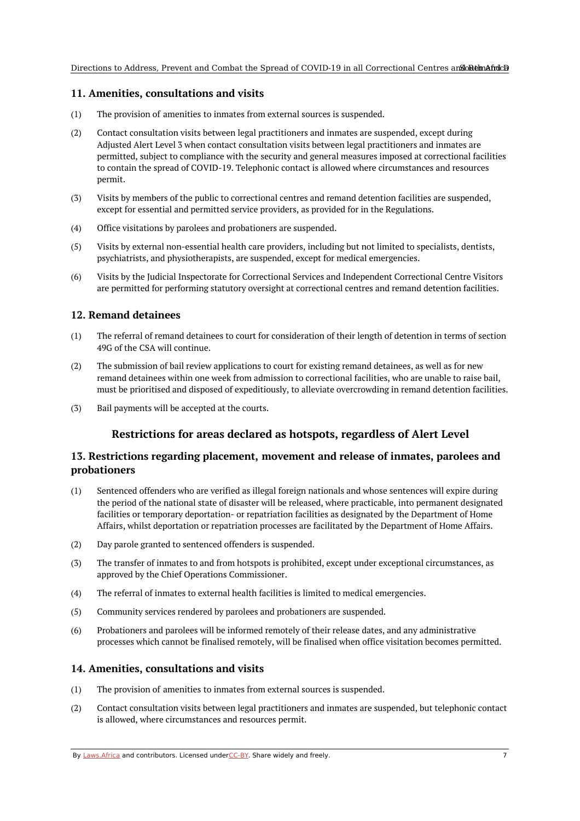#### <span id="page-6-0"></span>**11. Amenities, consultations and visits**

- (1) The provision of amenities to inmates from external sources is suspended.
- (2) Contact consultation visits between legal practitioners and inmates are suspended, except during Adjusted Alert Level 3 when contact consultation visits between legal practitioners and inmates are permitted, subject to compliance with the security and general measures imposed at correctional facilities to contain the spread of COVID-19. Telephonic contact is allowed where circumstances and resources permit.
- (3) Visits by members of the public to correctional centres and remand detention facilities are suspended, except for essential and permitted service providers, as provided for in the Regulations.
- (4) Office visitations by parolees and probationers are suspended.
- (5) Visits by external non-essential health care providers, including but not limited to specialists, dentists, psychiatrists, and physiotherapists, are suspended, except for medical emergencies.
- (6) Visits by the Judicial Inspectorate for Correctional Services and Independent Correctional Centre Visitors are permitted for performing statutory oversight at correctional centres and remand detention facilities.

#### <span id="page-6-1"></span>**12. Remand detainees**

- (1) The referral of remand detainees to court for consideration of their length of detention in terms of section 49G of the CSA will continue.
- (2) The submission of bail review applications to court for existing remand detainees, as well as for new remand detainees within one week from admission to correctional facilities, who are unable to raise bail, must be prioritised and disposed of expeditiously, to alleviate overcrowding in remand detention facilities.
- <span id="page-6-2"></span>(3) Bail payments will be accepted at the courts.

## **Restrictions for areas declared as hotspots, regardless of Alert Level**

#### <span id="page-6-3"></span>**13. Restrictions regarding placement, movement and release of inmates, parolees and probationers**

- (1) Sentenced offenders who are verified as illegal foreign nationals and whose sentences will expire during the period of the national state of disaster will be released, where practicable, into permanent designated facilities or temporary deportation- or repatriation facilities as designated by the Department of Home Affairs, whilst deportation or repatriation processes are facilitated by the Department of Home Affairs.
- (2) Day parole granted to sentenced offenders is suspended.
- (3) The transfer of inmates to and from hotspots is prohibited, except under exceptional circumstances, as approved by the Chief Operations Commissioner.
- (4) The referral of inmates to external health facilities is limited to medical emergencies.
- (5) Community services rendered by parolees and probationers are suspended.
- (6) Probationers and parolees will be informed remotely of their release dates, and any administrative processes which cannot be finalised remotely, will be finalised when office visitation becomes permitted.

#### <span id="page-6-4"></span>**14. Amenities, consultations and visits**

- (1) The provision of amenities to inmates from external sources is suspended.
- (2) Contact consultation visits between legal practitioners and inmates are suspended, but telephonic contact is allowed, where circumstances and resources permit.

By [Laws.Africa](https://edit.laws.africa/widgets/pdf-attribution) and contributors. Licensed und[erCC-B](https://edit.laws.africa/widgets/pdf-cc-by)Y. Share widely and freely.  $\overline{7}$